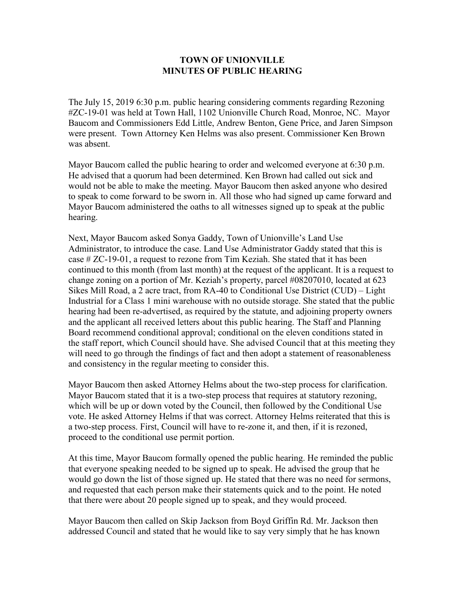## **TOWN OF UNIONVILLE MINUTES OF PUBLIC HEARING**

The July 15, 2019 6:30 p.m. public hearing considering comments regarding Rezoning #ZC-19-01 was held at Town Hall, 1102 Unionville Church Road, Monroe, NC. Mayor Baucom and Commissioners Edd Little, Andrew Benton, Gene Price, and Jaren Simpson were present. Town Attorney Ken Helms was also present. Commissioner Ken Brown was absent.

Mayor Baucom called the public hearing to order and welcomed everyone at 6:30 p.m. He advised that a quorum had been determined. Ken Brown had called out sick and would not be able to make the meeting. Mayor Baucom then asked anyone who desired to speak to come forward to be sworn in. All those who had signed up came forward and Mayor Baucom administered the oaths to all witnesses signed up to speak at the public hearing.

Next, Mayor Baucom asked Sonya Gaddy, Town of Unionville's Land Use Administrator, to introduce the case. Land Use Administrator Gaddy stated that this is case # ZC-19-01, a request to rezone from Tim Keziah. She stated that it has been continued to this month (from last month) at the request of the applicant. It is a request to change zoning on a portion of Mr. Keziah's property, parcel #08207010, located at 623 Sikes Mill Road, a 2 acre tract, from RA-40 to Conditional Use District (CUD) – Light Industrial for a Class 1 mini warehouse with no outside storage. She stated that the public hearing had been re-advertised, as required by the statute, and adjoining property owners and the applicant all received letters about this public hearing. The Staff and Planning Board recommend conditional approval; conditional on the eleven conditions stated in the staff report, which Council should have. She advised Council that at this meeting they will need to go through the findings of fact and then adopt a statement of reasonableness and consistency in the regular meeting to consider this.

Mayor Baucom then asked Attorney Helms about the two-step process for clarification. Mayor Baucom stated that it is a two-step process that requires at statutory rezoning, which will be up or down voted by the Council, then followed by the Conditional Use vote. He asked Attorney Helms if that was correct. Attorney Helms reiterated that this is a two-step process. First, Council will have to re-zone it, and then, if it is rezoned, proceed to the conditional use permit portion.

At this time, Mayor Baucom formally opened the public hearing. He reminded the public that everyone speaking needed to be signed up to speak. He advised the group that he would go down the list of those signed up. He stated that there was no need for sermons, and requested that each person make their statements quick and to the point. He noted that there were about 20 people signed up to speak, and they would proceed.

Mayor Baucom then called on Skip Jackson from Boyd Griffin Rd. Mr. Jackson then addressed Council and stated that he would like to say very simply that he has known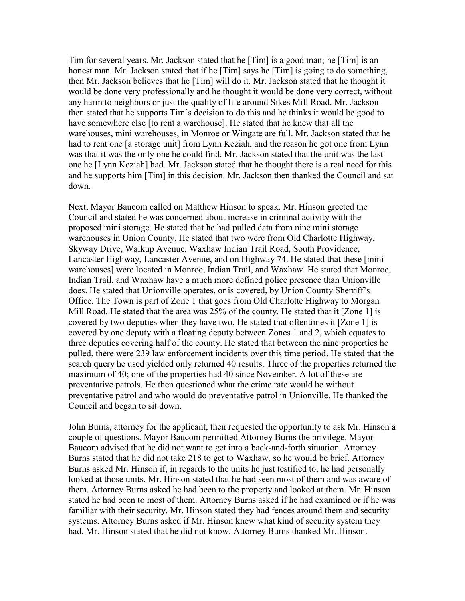Tim for several years. Mr. Jackson stated that he [Tim] is a good man; he [Tim] is an honest man. Mr. Jackson stated that if he [Tim] says he [Tim] is going to do something, then Mr. Jackson believes that he [Tim] will do it. Mr. Jackson stated that he thought it would be done very professionally and he thought it would be done very correct, without any harm to neighbors or just the quality of life around Sikes Mill Road. Mr. Jackson then stated that he supports Tim's decision to do this and he thinks it would be good to have somewhere else [to rent a warehouse]. He stated that he knew that all the warehouses, mini warehouses, in Monroe or Wingate are full. Mr. Jackson stated that he had to rent one [a storage unit] from Lynn Keziah, and the reason he got one from Lynn was that it was the only one he could find. Mr. Jackson stated that the unit was the last one he [Lynn Keziah] had. Mr. Jackson stated that he thought there is a real need for this and he supports him [Tim] in this decision. Mr. Jackson then thanked the Council and sat down.

Next, Mayor Baucom called on Matthew Hinson to speak. Mr. Hinson greeted the Council and stated he was concerned about increase in criminal activity with the proposed mini storage. He stated that he had pulled data from nine mini storage warehouses in Union County. He stated that two were from Old Charlotte Highway, Skyway Drive, Walkup Avenue, Waxhaw Indian Trail Road, South Providence, Lancaster Highway, Lancaster Avenue, and on Highway 74. He stated that these [mini warehouses] were located in Monroe, Indian Trail, and Waxhaw. He stated that Monroe, Indian Trail, and Waxhaw have a much more defined police presence than Unionville does. He stated that Unionville operates, or is covered, by Union County Sherriff's Office. The Town is part of Zone 1 that goes from Old Charlotte Highway to Morgan Mill Road. He stated that the area was 25% of the county. He stated that it [Zone 1] is covered by two deputies when they have two. He stated that oftentimes it [Zone 1] is covered by one deputy with a floating deputy between Zones 1 and 2, which equates to three deputies covering half of the county. He stated that between the nine properties he pulled, there were 239 law enforcement incidents over this time period. He stated that the search query he used yielded only returned 40 results. Three of the properties returned the maximum of 40; one of the properties had 40 since November. A lot of these are preventative patrols. He then questioned what the crime rate would be without preventative patrol and who would do preventative patrol in Unionville. He thanked the Council and began to sit down.

John Burns, attorney for the applicant, then requested the opportunity to ask Mr. Hinson a couple of questions. Mayor Baucom permitted Attorney Burns the privilege. Mayor Baucom advised that he did not want to get into a back-and-forth situation. Attorney Burns stated that he did not take 218 to get to Waxhaw, so he would be brief. Attorney Burns asked Mr. Hinson if, in regards to the units he just testified to, he had personally looked at those units. Mr. Hinson stated that he had seen most of them and was aware of them. Attorney Burns asked he had been to the property and looked at them. Mr. Hinson stated he had been to most of them. Attorney Burns asked if he had examined or if he was familiar with their security. Mr. Hinson stated they had fences around them and security systems. Attorney Burns asked if Mr. Hinson knew what kind of security system they had. Mr. Hinson stated that he did not know. Attorney Burns thanked Mr. Hinson.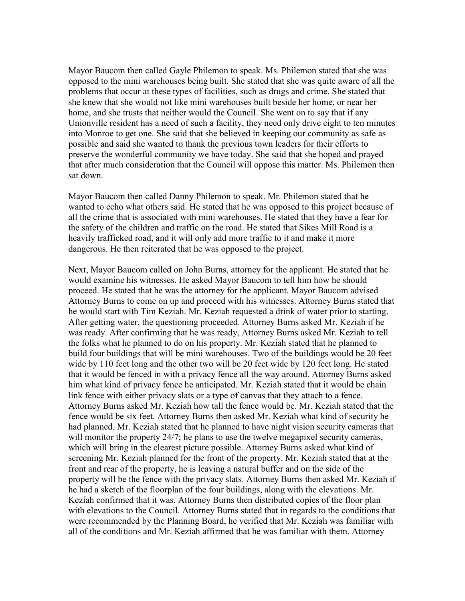Mayor Baucom then called Gayle Philemon to speak. Ms. Philemon stated that she was opposed to the mini warehouses being built. She stated that she was quite aware of all the problems that occur at these types of facilities, such as drugs and crime. She stated that she knew that she would not like mini warehouses built beside her home, or near her home, and she trusts that neither would the Council. She went on to say that if any Unionville resident has a need of such a facility, they need only drive eight to ten minutes into Monroe to get one. She said that she believed in keeping our community as safe as possible and said she wanted to thank the previous town leaders for their efforts to preserve the wonderful community we have today. She said that she hoped and prayed that after much consideration that the Council will oppose this matter. Ms. Philemon then sat down.

Mayor Baucom then called Danny Philemon to speak. Mr. Philemon stated that he wanted to echo what others said. He stated that he was opposed to this project because of all the crime that is associated with mini warehouses. He stated that they have a fear for the safety of the children and traffic on the road. He stated that Sikes Mill Road is a heavily trafficked road, and it will only add more traffic to it and make it more dangerous. He then reiterated that he was opposed to the project.

Next, Mayor Baucom called on John Burns, attorney for the applicant. He stated that he would examine his witnesses. He asked Mayor Baucom to tell him how he should proceed. He stated that he was the attorney for the applicant. Mayor Baucom advised Attorney Burns to come on up and proceed with his witnesses. Attorney Burns stated that he would start with Tim Keziah. Mr. Keziah requested a drink of water prior to starting. After getting water, the questioning proceeded. Attorney Burns asked Mr. Keziah if he was ready. After confirming that he was ready, Attorney Burns asked Mr. Keziah to tell the folks what he planned to do on his property. Mr. Keziah stated that he planned to build four buildings that will be mini warehouses. Two of the buildings would be 20 feet wide by 110 feet long and the other two will be 20 feet wide by 120 feet long. He stated that it would be fenced in with a privacy fence all the way around. Attorney Burns asked him what kind of privacy fence he anticipated. Mr. Keziah stated that it would be chain link fence with either privacy slats or a type of canvas that they attach to a fence. Attorney Burns asked Mr. Keziah how tall the fence would be. Mr. Keziah stated that the fence would be six feet. Attorney Burns then asked Mr. Keziah what kind of security he had planned. Mr. Keziah stated that he planned to have night vision security cameras that will monitor the property 24/7; he plans to use the twelve megapixel security cameras, which will bring in the clearest picture possible. Attorney Burns asked what kind of screening Mr. Keziah planned for the front of the property. Mr. Keziah stated that at the front and rear of the property, he is leaving a natural buffer and on the side of the property will be the fence with the privacy slats. Attorney Burns then asked Mr. Keziah if he had a sketch of the floorplan of the four buildings, along with the elevations. Mr. Keziah confirmed that it was. Attorney Burns then distributed copies of the floor plan with elevations to the Council. Attorney Burns stated that in regards to the conditions that were recommended by the Planning Board, he verified that Mr. Keziah was familiar with all of the conditions and Mr. Keziah affirmed that he was familiar with them. Attorney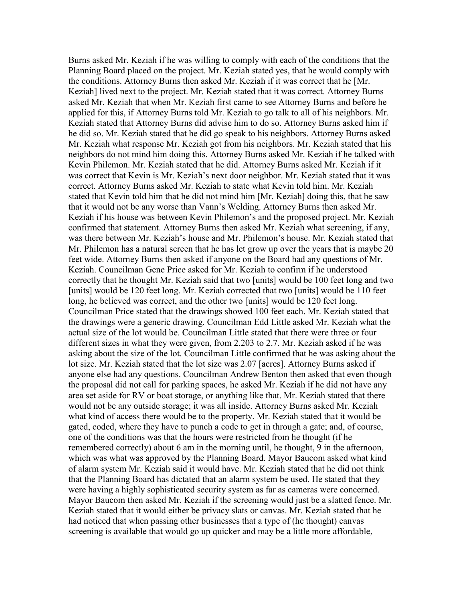Burns asked Mr. Keziah if he was willing to comply with each of the conditions that the Planning Board placed on the project. Mr. Keziah stated yes, that he would comply with the conditions. Attorney Burns then asked Mr. Keziah if it was correct that he [Mr. Keziah] lived next to the project. Mr. Keziah stated that it was correct. Attorney Burns asked Mr. Keziah that when Mr. Keziah first came to see Attorney Burns and before he applied for this, if Attorney Burns told Mr. Keziah to go talk to all of his neighbors. Mr. Keziah stated that Attorney Burns did advise him to do so. Attorney Burns asked him if he did so. Mr. Keziah stated that he did go speak to his neighbors. Attorney Burns asked Mr. Keziah what response Mr. Keziah got from his neighbors. Mr. Keziah stated that his neighbors do not mind him doing this. Attorney Burns asked Mr. Keziah if he talked with Kevin Philemon. Mr. Keziah stated that he did. Attorney Burns asked Mr. Keziah if it was correct that Kevin is Mr. Keziah's next door neighbor. Mr. Keziah stated that it was correct. Attorney Burns asked Mr. Keziah to state what Kevin told him. Mr. Keziah stated that Kevin told him that he did not mind him [Mr. Keziah] doing this, that he saw that it would not be any worse than Vann's Welding. Attorney Burns then asked Mr. Keziah if his house was between Kevin Philemon's and the proposed project. Mr. Keziah confirmed that statement. Attorney Burns then asked Mr. Keziah what screening, if any, was there between Mr. Keziah's house and Mr. Philemon's house. Mr. Keziah stated that Mr. Philemon has a natural screen that he has let grow up over the years that is maybe 20 feet wide. Attorney Burns then asked if anyone on the Board had any questions of Mr. Keziah. Councilman Gene Price asked for Mr. Keziah to confirm if he understood correctly that he thought Mr. Keziah said that two [units] would be 100 feet long and two [units] would be 120 feet long. Mr. Keziah corrected that two [units] would be 110 feet long, he believed was correct, and the other two [units] would be 120 feet long. Councilman Price stated that the drawings showed 100 feet each. Mr. Keziah stated that the drawings were a generic drawing. Councilman Edd Little asked Mr. Keziah what the actual size of the lot would be. Councilman Little stated that there were three or four different sizes in what they were given, from 2.203 to 2.7. Mr. Keziah asked if he was asking about the size of the lot. Councilman Little confirmed that he was asking about the lot size. Mr. Keziah stated that the lot size was 2.07 [acres]. Attorney Burns asked if anyone else had any questions. Councilman Andrew Benton then asked that even though the proposal did not call for parking spaces, he asked Mr. Keziah if he did not have any area set aside for RV or boat storage, or anything like that. Mr. Keziah stated that there would not be any outside storage; it was all inside. Attorney Burns asked Mr. Keziah what kind of access there would be to the property. Mr. Keziah stated that it would be gated, coded, where they have to punch a code to get in through a gate; and, of course, one of the conditions was that the hours were restricted from he thought (if he remembered correctly) about 6 am in the morning until, he thought, 9 in the afternoon, which was what was approved by the Planning Board. Mayor Baucom asked what kind of alarm system Mr. Keziah said it would have. Mr. Keziah stated that he did not think that the Planning Board has dictated that an alarm system be used. He stated that they were having a highly sophisticated security system as far as cameras were concerned. Mayor Baucom then asked Mr. Keziah if the screening would just be a slatted fence. Mr. Keziah stated that it would either be privacy slats or canvas. Mr. Keziah stated that he had noticed that when passing other businesses that a type of (he thought) canvas screening is available that would go up quicker and may be a little more affordable,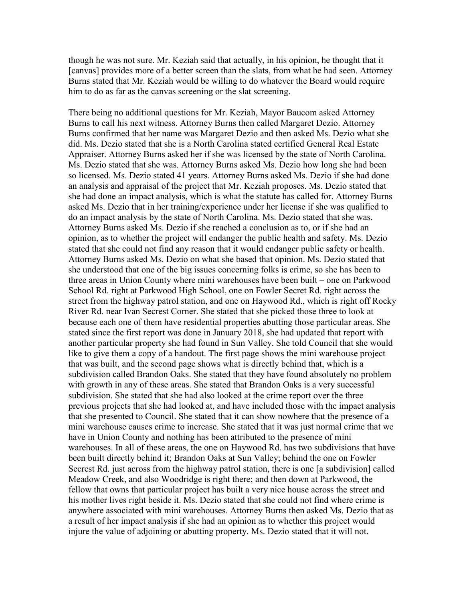though he was not sure. Mr. Keziah said that actually, in his opinion, he thought that it [canvas] provides more of a better screen than the slats, from what he had seen. Attorney Burns stated that Mr. Keziah would be willing to do whatever the Board would require him to do as far as the canvas screening or the slat screening.

There being no additional questions for Mr. Keziah, Mayor Baucom asked Attorney Burns to call his next witness. Attorney Burns then called Margaret Dezio. Attorney Burns confirmed that her name was Margaret Dezio and then asked Ms. Dezio what she did. Ms. Dezio stated that she is a North Carolina stated certified General Real Estate Appraiser. Attorney Burns asked her if she was licensed by the state of North Carolina. Ms. Dezio stated that she was. Attorney Burns asked Ms. Dezio how long she had been so licensed. Ms. Dezio stated 41 years. Attorney Burns asked Ms. Dezio if she had done an analysis and appraisal of the project that Mr. Keziah proposes. Ms. Dezio stated that she had done an impact analysis, which is what the statute has called for. Attorney Burns asked Ms. Dezio that in her training/experience under her license if she was qualified to do an impact analysis by the state of North Carolina. Ms. Dezio stated that she was. Attorney Burns asked Ms. Dezio if she reached a conclusion as to, or if she had an opinion, as to whether the project will endanger the public health and safety. Ms. Dezio stated that she could not find any reason that it would endanger public safety or health. Attorney Burns asked Ms. Dezio on what she based that opinion. Ms. Dezio stated that she understood that one of the big issues concerning folks is crime, so she has been to three areas in Union County where mini warehouses have been built – one on Parkwood School Rd. right at Parkwood High School, one on Fowler Secret Rd. right across the street from the highway patrol station, and one on Haywood Rd., which is right off Rocky River Rd. near Ivan Secrest Corner. She stated that she picked those three to look at because each one of them have residential properties abutting those particular areas. She stated since the first report was done in January 2018, she had updated that report with another particular property she had found in Sun Valley. She told Council that she would like to give them a copy of a handout. The first page shows the mini warehouse project that was built, and the second page shows what is directly behind that, which is a subdivision called Brandon Oaks. She stated that they have found absolutely no problem with growth in any of these areas. She stated that Brandon Oaks is a very successful subdivision. She stated that she had also looked at the crime report over the three previous projects that she had looked at, and have included those with the impact analysis that she presented to Council. She stated that it can show nowhere that the presence of a mini warehouse causes crime to increase. She stated that it was just normal crime that we have in Union County and nothing has been attributed to the presence of mini warehouses. In all of these areas, the one on Haywood Rd. has two subdivisions that have been built directly behind it; Brandon Oaks at Sun Valley; behind the one on Fowler Secrest Rd. just across from the highway patrol station, there is one [a subdivision] called Meadow Creek, and also Woodridge is right there; and then down at Parkwood, the fellow that owns that particular project has built a very nice house across the street and his mother lives right beside it. Ms. Dezio stated that she could not find where crime is anywhere associated with mini warehouses. Attorney Burns then asked Ms. Dezio that as a result of her impact analysis if she had an opinion as to whether this project would injure the value of adjoining or abutting property. Ms. Dezio stated that it will not.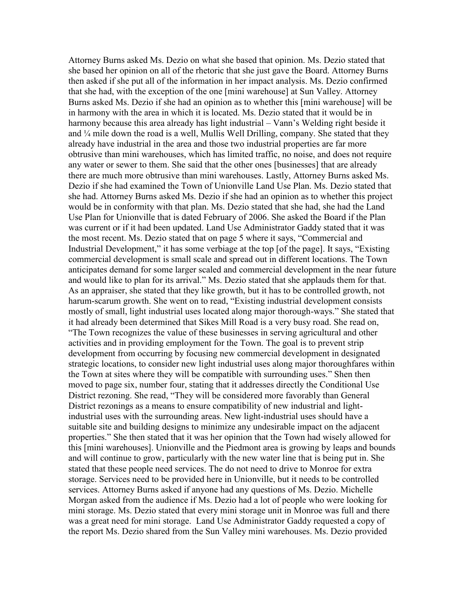Attorney Burns asked Ms. Dezio on what she based that opinion. Ms. Dezio stated that she based her opinion on all of the rhetoric that she just gave the Board. Attorney Burns then asked if she put all of the information in her impact analysis. Ms. Dezio confirmed that she had, with the exception of the one [mini warehouse] at Sun Valley. Attorney Burns asked Ms. Dezio if she had an opinion as to whether this [mini warehouse] will be in harmony with the area in which it is located. Ms. Dezio stated that it would be in harmony because this area already has light industrial – Vann's Welding right beside it and ¼ mile down the road is a well, Mullis Well Drilling, company. She stated that they already have industrial in the area and those two industrial properties are far more obtrusive than mini warehouses, which has limited traffic, no noise, and does not require any water or sewer to them. She said that the other ones [businesses] that are already there are much more obtrusive than mini warehouses. Lastly, Attorney Burns asked Ms. Dezio if she had examined the Town of Unionville Land Use Plan. Ms. Dezio stated that she had. Attorney Burns asked Ms. Dezio if she had an opinion as to whether this project would be in conformity with that plan. Ms. Dezio stated that she had, she had the Land Use Plan for Unionville that is dated February of 2006. She asked the Board if the Plan was current or if it had been updated. Land Use Administrator Gaddy stated that it was the most recent. Ms. Dezio stated that on page 5 where it says, "Commercial and Industrial Development," it has some verbiage at the top [of the page]. It says, "Existing commercial development is small scale and spread out in different locations. The Town anticipates demand for some larger scaled and commercial development in the near future and would like to plan for its arrival." Ms. Dezio stated that she applauds them for that. As an appraiser, she stated that they like growth, but it has to be controlled growth, not harum-scarum growth. She went on to read, "Existing industrial development consists mostly of small, light industrial uses located along major thorough-ways." She stated that it had already been determined that Sikes Mill Road is a very busy road. She read on, "The Town recognizes the value of these businesses in serving agricultural and other activities and in providing employment for the Town. The goal is to prevent strip development from occurring by focusing new commercial development in designated strategic locations, to consider new light industrial uses along major thoroughfares within the Town at sites where they will be compatible with surrounding uses." Shen then moved to page six, number four, stating that it addresses directly the Conditional Use District rezoning. She read, "They will be considered more favorably than General District rezonings as a means to ensure compatibility of new industrial and lightindustrial uses with the surrounding areas. New light-industrial uses should have a suitable site and building designs to minimize any undesirable impact on the adjacent properties." She then stated that it was her opinion that the Town had wisely allowed for this [mini warehouses]. Unionville and the Piedmont area is growing by leaps and bounds and will continue to grow, particularly with the new water line that is being put in. She stated that these people need services. The do not need to drive to Monroe for extra storage. Services need to be provided here in Unionville, but it needs to be controlled services. Attorney Burns asked if anyone had any questions of Ms. Dezio. Michelle Morgan asked from the audience if Ms. Dezio had a lot of people who were looking for mini storage. Ms. Dezio stated that every mini storage unit in Monroe was full and there was a great need for mini storage. Land Use Administrator Gaddy requested a copy of the report Ms. Dezio shared from the Sun Valley mini warehouses. Ms. Dezio provided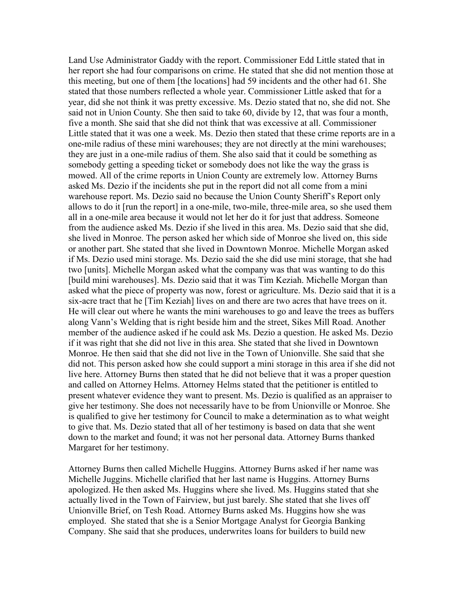Land Use Administrator Gaddy with the report. Commissioner Edd Little stated that in her report she had four comparisons on crime. He stated that she did not mention those at this meeting, but one of them [the locations] had 59 incidents and the other had 61. She stated that those numbers reflected a whole year. Commissioner Little asked that for a year, did she not think it was pretty excessive. Ms. Dezio stated that no, she did not. She said not in Union County. She then said to take 60, divide by 12, that was four a month, five a month. She said that she did not think that was excessive at all. Commissioner Little stated that it was one a week. Ms. Dezio then stated that these crime reports are in a one-mile radius of these mini warehouses; they are not directly at the mini warehouses; they are just in a one-mile radius of them. She also said that it could be something as somebody getting a speeding ticket or somebody does not like the way the grass is mowed. All of the crime reports in Union County are extremely low. Attorney Burns asked Ms. Dezio if the incidents she put in the report did not all come from a mini warehouse report. Ms. Dezio said no because the Union County Sheriff's Report only allows to do it [run the report] in a one-mile, two-mile, three-mile area, so she used them all in a one-mile area because it would not let her do it for just that address. Someone from the audience asked Ms. Dezio if she lived in this area. Ms. Dezio said that she did, she lived in Monroe. The person asked her which side of Monroe she lived on, this side or another part. She stated that she lived in Downtown Monroe. Michelle Morgan asked if Ms. Dezio used mini storage. Ms. Dezio said the she did use mini storage, that she had two [units]. Michelle Morgan asked what the company was that was wanting to do this [build mini warehouses]. Ms. Dezio said that it was Tim Keziah. Michelle Morgan than asked what the piece of property was now, forest or agriculture. Ms. Dezio said that it is a six-acre tract that he [Tim Keziah] lives on and there are two acres that have trees on it. He will clear out where he wants the mini warehouses to go and leave the trees as buffers along Vann's Welding that is right beside him and the street, Sikes Mill Road. Another member of the audience asked if he could ask Ms. Dezio a question. He asked Ms. Dezio if it was right that she did not live in this area. She stated that she lived in Downtown Monroe. He then said that she did not live in the Town of Unionville. She said that she did not. This person asked how she could support a mini storage in this area if she did not live here. Attorney Burns then stated that he did not believe that it was a proper question and called on Attorney Helms. Attorney Helms stated that the petitioner is entitled to present whatever evidence they want to present. Ms. Dezio is qualified as an appraiser to give her testimony. She does not necessarily have to be from Unionville or Monroe. She is qualified to give her testimony for Council to make a determination as to what weight to give that. Ms. Dezio stated that all of her testimony is based on data that she went down to the market and found; it was not her personal data. Attorney Burns thanked Margaret for her testimony.

Attorney Burns then called Michelle Huggins. Attorney Burns asked if her name was Michelle Juggins. Michelle clarified that her last name is Huggins. Attorney Burns apologized. He then asked Ms. Huggins where she lived. Ms. Huggins stated that she actually lived in the Town of Fairview, but just barely. She stated that she lives off Unionville Brief, on Tesh Road. Attorney Burns asked Ms. Huggins how she was employed. She stated that she is a Senior Mortgage Analyst for Georgia Banking Company. She said that she produces, underwrites loans for builders to build new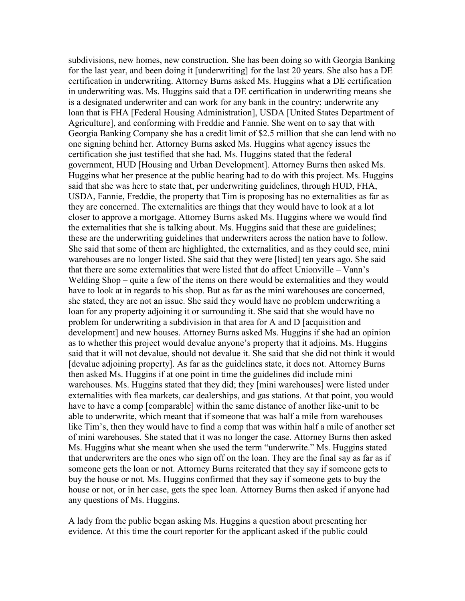subdivisions, new homes, new construction. She has been doing so with Georgia Banking for the last year, and been doing it [underwriting] for the last 20 years. She also has a DE certification in underwriting. Attorney Burns asked Ms. Huggins what a DE certification in underwriting was. Ms. Huggins said that a DE certification in underwriting means she is a designated underwriter and can work for any bank in the country; underwrite any loan that is FHA [Federal Housing Administration], USDA [United States Department of Agriculture], and conforming with Freddie and Fannie. She went on to say that with Georgia Banking Company she has a credit limit of \$2.5 million that she can lend with no one signing behind her. Attorney Burns asked Ms. Huggins what agency issues the certification she just testified that she had. Ms. Huggins stated that the federal government, HUD [Housing and Urban Development]. Attorney Burns then asked Ms. Huggins what her presence at the public hearing had to do with this project. Ms. Huggins said that she was here to state that, per underwriting guidelines, through HUD, FHA, USDA, Fannie, Freddie, the property that Tim is proposing has no externalities as far as they are concerned. The externalities are things that they would have to look at a lot closer to approve a mortgage. Attorney Burns asked Ms. Huggins where we would find the externalities that she is talking about. Ms. Huggins said that these are guidelines; these are the underwriting guidelines that underwriters across the nation have to follow. She said that some of them are highlighted, the externalities, and as they could see, mini warehouses are no longer listed. She said that they were [listed] ten years ago. She said that there are some externalities that were listed that do affect Unionville – Vann's Welding Shop – quite a few of the items on there would be externalities and they would have to look at in regards to his shop. But as far as the mini warehouses are concerned, she stated, they are not an issue. She said they would have no problem underwriting a loan for any property adjoining it or surrounding it. She said that she would have no problem for underwriting a subdivision in that area for A and D [acquisition and development] and new houses. Attorney Burns asked Ms. Huggins if she had an opinion as to whether this project would devalue anyone's property that it adjoins. Ms. Huggins said that it will not devalue, should not devalue it. She said that she did not think it would [devalue adjoining property]. As far as the guidelines state, it does not. Attorney Burns then asked Ms. Huggins if at one point in time the guidelines did include mini warehouses. Ms. Huggins stated that they did; they [mini warehouses] were listed under externalities with flea markets, car dealerships, and gas stations. At that point, you would have to have a comp [comparable] within the same distance of another like-unit to be able to underwrite, which meant that if someone that was half a mile from warehouses like Tim's, then they would have to find a comp that was within half a mile of another set of mini warehouses. She stated that it was no longer the case. Attorney Burns then asked Ms. Huggins what she meant when she used the term "underwrite." Ms. Huggins stated that underwriters are the ones who sign off on the loan. They are the final say as far as if someone gets the loan or not. Attorney Burns reiterated that they say if someone gets to buy the house or not. Ms. Huggins confirmed that they say if someone gets to buy the house or not, or in her case, gets the spec loan. Attorney Burns then asked if anyone had any questions of Ms. Huggins.

A lady from the public began asking Ms. Huggins a question about presenting her evidence. At this time the court reporter for the applicant asked if the public could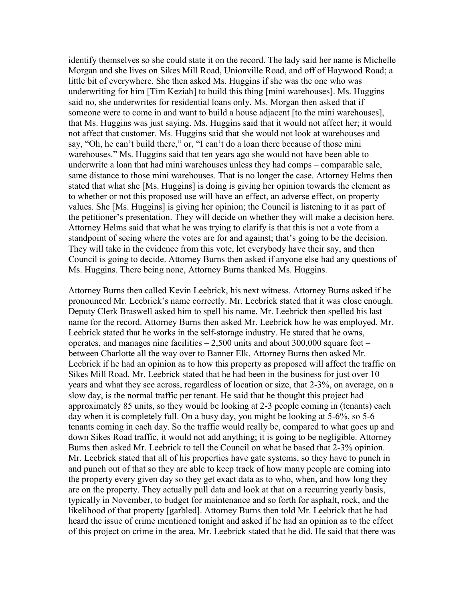identify themselves so she could state it on the record. The lady said her name is Michelle Morgan and she lives on Sikes Mill Road, Unionville Road, and off of Haywood Road; a little bit of everywhere. She then asked Ms. Huggins if she was the one who was underwriting for him [Tim Keziah] to build this thing [mini warehouses]. Ms. Huggins said no, she underwrites for residential loans only. Ms. Morgan then asked that if someone were to come in and want to build a house adjacent [to the mini warehouses], that Ms. Huggins was just saying. Ms. Huggins said that it would not affect her; it would not affect that customer. Ms. Huggins said that she would not look at warehouses and say, "Oh, he can't build there," or, "I can't do a loan there because of those mini warehouses." Ms. Huggins said that ten years ago she would not have been able to underwrite a loan that had mini warehouses unless they had comps – comparable sale, same distance to those mini warehouses. That is no longer the case. Attorney Helms then stated that what she [Ms. Huggins] is doing is giving her opinion towards the element as to whether or not this proposed use will have an effect, an adverse effect, on property values. She [Ms. Huggins] is giving her opinion; the Council is listening to it as part of the petitioner's presentation. They will decide on whether they will make a decision here. Attorney Helms said that what he was trying to clarify is that this is not a vote from a standpoint of seeing where the votes are for and against; that's going to be the decision. They will take in the evidence from this vote, let everybody have their say, and then Council is going to decide. Attorney Burns then asked if anyone else had any questions of Ms. Huggins. There being none, Attorney Burns thanked Ms. Huggins.

Attorney Burns then called Kevin Leebrick, his next witness. Attorney Burns asked if he pronounced Mr. Leebrick's name correctly. Mr. Leebrick stated that it was close enough. Deputy Clerk Braswell asked him to spell his name. Mr. Leebrick then spelled his last name for the record. Attorney Burns then asked Mr. Leebrick how he was employed. Mr. Leebrick stated that he works in the self-storage industry. He stated that he owns, operates, and manages nine facilities  $-2,500$  units and about 300,000 square feet – between Charlotte all the way over to Banner Elk. Attorney Burns then asked Mr. Leebrick if he had an opinion as to how this property as proposed will affect the traffic on Sikes Mill Road. Mr. Leebrick stated that he had been in the business for just over 10 years and what they see across, regardless of location or size, that 2-3%, on average, on a slow day, is the normal traffic per tenant. He said that he thought this project had approximately 85 units, so they would be looking at 2-3 people coming in (tenants) each day when it is completely full. On a busy day, you might be looking at 5-6%, so 5-6 tenants coming in each day. So the traffic would really be, compared to what goes up and down Sikes Road traffic, it would not add anything; it is going to be negligible. Attorney Burns then asked Mr. Leebrick to tell the Council on what he based that 2-3% opinion. Mr. Leebrick stated that all of his properties have gate systems, so they have to punch in and punch out of that so they are able to keep track of how many people are coming into the property every given day so they get exact data as to who, when, and how long they are on the property. They actually pull data and look at that on a recurring yearly basis, typically in November, to budget for maintenance and so forth for asphalt, rock, and the likelihood of that property [garbled]. Attorney Burns then told Mr. Leebrick that he had heard the issue of crime mentioned tonight and asked if he had an opinion as to the effect of this project on crime in the area. Mr. Leebrick stated that he did. He said that there was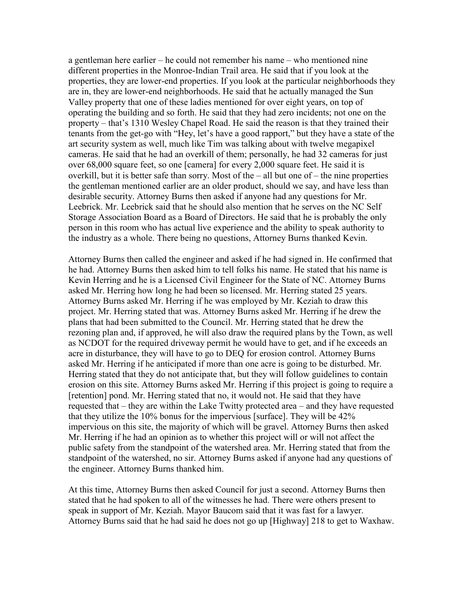a gentleman here earlier – he could not remember his name – who mentioned nine different properties in the Monroe-Indian Trail area. He said that if you look at the properties, they are lower-end properties. If you look at the particular neighborhoods they are in, they are lower-end neighborhoods. He said that he actually managed the Sun Valley property that one of these ladies mentioned for over eight years, on top of operating the building and so forth. He said that they had zero incidents; not one on the property – that's 1310 Wesley Chapel Road. He said the reason is that they trained their tenants from the get-go with "Hey, let's have a good rapport," but they have a state of the art security system as well, much like Tim was talking about with twelve megapixel cameras. He said that he had an overkill of them; personally, he had 32 cameras for just over 68,000 square feet, so one [camera] for every 2,000 square feet. He said it is overkill, but it is better safe than sorry. Most of the – all but one of – the nine properties the gentleman mentioned earlier are an older product, should we say, and have less than desirable security. Attorney Burns then asked if anyone had any questions for Mr. Leebrick. Mr. Leebrick said that he should also mention that he serves on the NC Self Storage Association Board as a Board of Directors. He said that he is probably the only person in this room who has actual live experience and the ability to speak authority to the industry as a whole. There being no questions, Attorney Burns thanked Kevin.

Attorney Burns then called the engineer and asked if he had signed in. He confirmed that he had. Attorney Burns then asked him to tell folks his name. He stated that his name is Kevin Herring and he is a Licensed Civil Engineer for the State of NC. Attorney Burns asked Mr. Herring how long he had been so licensed. Mr. Herring stated 25 years. Attorney Burns asked Mr. Herring if he was employed by Mr. Keziah to draw this project. Mr. Herring stated that was. Attorney Burns asked Mr. Herring if he drew the plans that had been submitted to the Council. Mr. Herring stated that he drew the rezoning plan and, if approved, he will also draw the required plans by the Town, as well as NCDOT for the required driveway permit he would have to get, and if he exceeds an acre in disturbance, they will have to go to DEQ for erosion control. Attorney Burns asked Mr. Herring if he anticipated if more than one acre is going to be disturbed. Mr. Herring stated that they do not anticipate that, but they will follow guidelines to contain erosion on this site. Attorney Burns asked Mr. Herring if this project is going to require a [retention] pond. Mr. Herring stated that no, it would not. He said that they have requested that – they are within the Lake Twitty protected area – and they have requested that they utilize the 10% bonus for the impervious [surface]. They will be 42% impervious on this site, the majority of which will be gravel. Attorney Burns then asked Mr. Herring if he had an opinion as to whether this project will or will not affect the public safety from the standpoint of the watershed area. Mr. Herring stated that from the standpoint of the watershed, no sir. Attorney Burns asked if anyone had any questions of the engineer. Attorney Burns thanked him.

At this time, Attorney Burns then asked Council for just a second. Attorney Burns then stated that he had spoken to all of the witnesses he had. There were others present to speak in support of Mr. Keziah. Mayor Baucom said that it was fast for a lawyer. Attorney Burns said that he had said he does not go up [Highway] 218 to get to Waxhaw.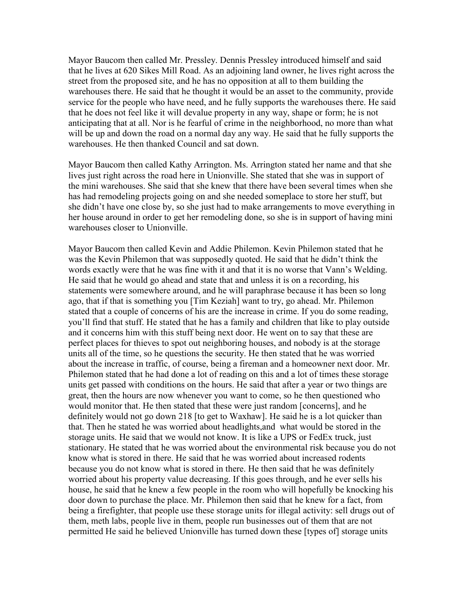Mayor Baucom then called Mr. Pressley. Dennis Pressley introduced himself and said that he lives at 620 Sikes Mill Road. As an adjoining land owner, he lives right across the street from the proposed site, and he has no opposition at all to them building the warehouses there. He said that he thought it would be an asset to the community, provide service for the people who have need, and he fully supports the warehouses there. He said that he does not feel like it will devalue property in any way, shape or form; he is not anticipating that at all. Nor is he fearful of crime in the neighborhood, no more than what will be up and down the road on a normal day any way. He said that he fully supports the warehouses. He then thanked Council and sat down.

Mayor Baucom then called Kathy Arrington. Ms. Arrington stated her name and that she lives just right across the road here in Unionville. She stated that she was in support of the mini warehouses. She said that she knew that there have been several times when she has had remodeling projects going on and she needed someplace to store her stuff, but she didn't have one close by, so she just had to make arrangements to move everything in her house around in order to get her remodeling done, so she is in support of having mini warehouses closer to Unionville.

Mayor Baucom then called Kevin and Addie Philemon. Kevin Philemon stated that he was the Kevin Philemon that was supposedly quoted. He said that he didn't think the words exactly were that he was fine with it and that it is no worse that Vann's Welding. He said that he would go ahead and state that and unless it is on a recording, his statements were somewhere around, and he will paraphrase because it has been so long ago, that if that is something you [Tim Keziah] want to try, go ahead. Mr. Philemon stated that a couple of concerns of his are the increase in crime. If you do some reading, you'll find that stuff. He stated that he has a family and children that like to play outside and it concerns him with this stuff being next door. He went on to say that these are perfect places for thieves to spot out neighboring houses, and nobody is at the storage units all of the time, so he questions the security. He then stated that he was worried about the increase in traffic, of course, being a fireman and a homeowner next door. Mr. Philemon stated that he had done a lot of reading on this and a lot of times these storage units get passed with conditions on the hours. He said that after a year or two things are great, then the hours are now whenever you want to come, so he then questioned who would monitor that. He then stated that these were just random [concerns], and he definitely would not go down 218 [to get to Waxhaw]. He said he is a lot quicker than that. Then he stated he was worried about headlights,and what would be stored in the storage units. He said that we would not know. It is like a UPS or FedEx truck, just stationary. He stated that he was worried about the environmental risk because you do not know what is stored in there. He said that he was worried about increased rodents because you do not know what is stored in there. He then said that he was definitely worried about his property value decreasing. If this goes through, and he ever sells his house, he said that he knew a few people in the room who will hopefully be knocking his door down to purchase the place. Mr. Philemon then said that he knew for a fact, from being a firefighter, that people use these storage units for illegal activity: sell drugs out of them, meth labs, people live in them, people run businesses out of them that are not permitted He said he believed Unionville has turned down these [types of] storage units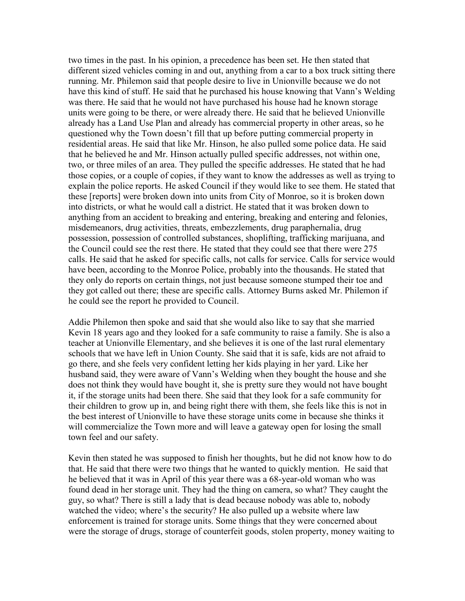two times in the past. In his opinion, a precedence has been set. He then stated that different sized vehicles coming in and out, anything from a car to a box truck sitting there running. Mr. Philemon said that people desire to live in Unionville because we do not have this kind of stuff. He said that he purchased his house knowing that Vann's Welding was there. He said that he would not have purchased his house had he known storage units were going to be there, or were already there. He said that he believed Unionville already has a Land Use Plan and already has commercial property in other areas, so he questioned why the Town doesn't fill that up before putting commercial property in residential areas. He said that like Mr. Hinson, he also pulled some police data. He said that he believed he and Mr. Hinson actually pulled specific addresses, not within one, two, or three miles of an area. They pulled the specific addresses. He stated that he had those copies, or a couple of copies, if they want to know the addresses as well as trying to explain the police reports. He asked Council if they would like to see them. He stated that these [reports] were broken down into units from City of Monroe, so it is broken down into districts, or what he would call a district. He stated that it was broken down to anything from an accident to breaking and entering, breaking and entering and felonies, misdemeanors, drug activities, threats, embezzlements, drug paraphernalia, drug possession, possession of controlled substances, shoplifting, trafficking marijuana, and the Council could see the rest there. He stated that they could see that there were 275 calls. He said that he asked for specific calls, not calls for service. Calls for service would have been, according to the Monroe Police, probably into the thousands. He stated that they only do reports on certain things, not just because someone stumped their toe and they got called out there; these are specific calls. Attorney Burns asked Mr. Philemon if he could see the report he provided to Council.

Addie Philemon then spoke and said that she would also like to say that she married Kevin 18 years ago and they looked for a safe community to raise a family. She is also a teacher at Unionville Elementary, and she believes it is one of the last rural elementary schools that we have left in Union County. She said that it is safe, kids are not afraid to go there, and she feels very confident letting her kids playing in her yard. Like her husband said, they were aware of Vann's Welding when they bought the house and she does not think they would have bought it, she is pretty sure they would not have bought it, if the storage units had been there. She said that they look for a safe community for their children to grow up in, and being right there with them, she feels like this is not in the best interest of Unionville to have these storage units come in because she thinks it will commercialize the Town more and will leave a gateway open for losing the small town feel and our safety.

Kevin then stated he was supposed to finish her thoughts, but he did not know how to do that. He said that there were two things that he wanted to quickly mention. He said that he believed that it was in April of this year there was a 68-year-old woman who was found dead in her storage unit. They had the thing on camera, so what? They caught the guy, so what? There is still a lady that is dead because nobody was able to, nobody watched the video; where's the security? He also pulled up a website where law enforcement is trained for storage units. Some things that they were concerned about were the storage of drugs, storage of counterfeit goods, stolen property, money waiting to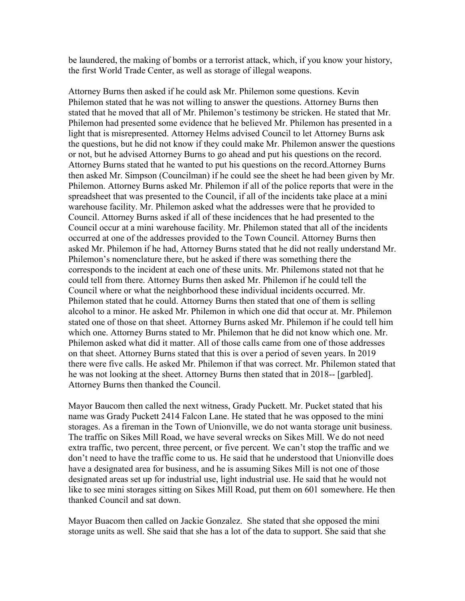be laundered, the making of bombs or a terrorist attack, which, if you know your history, the first World Trade Center, as well as storage of illegal weapons.

Attorney Burns then asked if he could ask Mr. Philemon some questions. Kevin Philemon stated that he was not willing to answer the questions. Attorney Burns then stated that he moved that all of Mr. Philemon's testimony be stricken. He stated that Mr. Philemon had presented some evidence that he believed Mr. Philemon has presented in a light that is misrepresented. Attorney Helms advised Council to let Attorney Burns ask the questions, but he did not know if they could make Mr. Philemon answer the questions or not, but he advised Attorney Burns to go ahead and put his questions on the record. Attorney Burns stated that he wanted to put his questions on the record.Attorney Burns then asked Mr. Simpson (Councilman) if he could see the sheet he had been given by Mr. Philemon. Attorney Burns asked Mr. Philemon if all of the police reports that were in the spreadsheet that was presented to the Council, if all of the incidents take place at a mini warehouse facility. Mr. Philemon asked what the addresses were that he provided to Council. Attorney Burns asked if all of these incidences that he had presented to the Council occur at a mini warehouse facility. Mr. Philemon stated that all of the incidents occurred at one of the addresses provided to the Town Council. Attorney Burns then asked Mr. Philemon if he had, Attorney Burns stated that he did not really understand Mr. Philemon's nomenclature there, but he asked if there was something there the corresponds to the incident at each one of these units. Mr. Philemons stated not that he could tell from there. Attorney Burns then asked Mr. Philemon if he could tell the Council where or what the neighborhood these individual incidents occurred. Mr. Philemon stated that he could. Attorney Burns then stated that one of them is selling alcohol to a minor. He asked Mr. Philemon in which one did that occur at. Mr. Philemon stated one of those on that sheet. Attorney Burns asked Mr. Philemon if he could tell him which one. Attorney Burns stated to Mr. Philemon that he did not know which one. Mr. Philemon asked what did it matter. All of those calls came from one of those addresses on that sheet. Attorney Burns stated that this is over a period of seven years. In 2019 there were five calls. He asked Mr. Philemon if that was correct. Mr. Philemon stated that he was not looking at the sheet. Attorney Burns then stated that in 2018-- [garbled]. Attorney Burns then thanked the Council.

Mayor Baucom then called the next witness, Grady Puckett. Mr. Pucket stated that his name was Grady Puckett 2414 Falcon Lane. He stated that he was opposed to the mini storages. As a fireman in the Town of Unionville, we do not wanta storage unit business. The traffic on Sikes Mill Road, we have several wrecks on Sikes Mill. We do not need extra traffic, two percent, three percent, or five percent. We can't stop the traffic and we don't need to have the traffic come to us. He said that he understood that Unionville does have a designated area for business, and he is assuming Sikes Mill is not one of those designated areas set up for industrial use, light industrial use. He said that he would not like to see mini storages sitting on Sikes Mill Road, put them on 601 somewhere. He then thanked Council and sat down.

Mayor Buacom then called on Jackie Gonzalez. She stated that she opposed the mini storage units as well. She said that she has a lot of the data to support. She said that she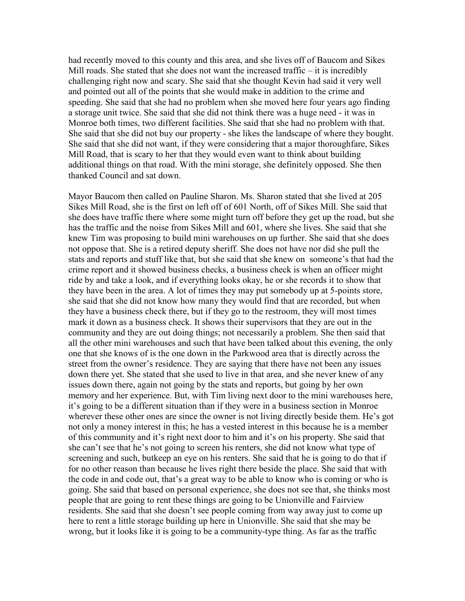had recently moved to this county and this area, and she lives off of Baucom and Sikes Mill roads. She stated that she does not want the increased traffic  $-$  it is incredibly challenging right now and scary. She said that she thought Kevin had said it very well and pointed out all of the points that she would make in addition to the crime and speeding. She said that she had no problem when she moved here four years ago finding a storage unit twice. She said that she did not think there was a huge need - it was in Monroe both times, two different facilities. She said that she had no problem with that. She said that she did not buy our property - she likes the landscape of where they bought. She said that she did not want, if they were considering that a major thoroughfare, Sikes Mill Road, that is scary to her that they would even want to think about building additional things on that road. With the mini storage, she definitely opposed. She then thanked Council and sat down.

Mayor Baucom then called on Pauline Sharon. Ms. Sharon stated that she lived at 205 Sikes Mill Road, she is the first on left off of 601 North, off of Sikes Mill. She said that she does have traffic there where some might turn off before they get up the road, but she has the traffic and the noise from Sikes Mill and 601, where she lives. She said that she knew Tim was proposing to build mini warehouses on up further. She said that she does not oppose that. She is a retired deputy sheriff. She does not have nor did she pull the stats and reports and stuff like that, but she said that she knew on someone's that had the crime report and it showed business checks, a business check is when an officer might ride by and take a look, and if everything looks okay, he or she records it to show that they have been in the area. A lot of times they may put somebody up at 5-points store, she said that she did not know how many they would find that are recorded, but when they have a business check there, but if they go to the restroom, they will most times mark it down as a business check. It shows their supervisors that they are out in the community and they are out doing things; not necessarily a problem. She then said that all the other mini warehouses and such that have been talked about this evening, the only one that she knows of is the one down in the Parkwood area that is directly across the street from the owner's residence. They are saying that there have not been any issues down there yet. She stated that she used to live in that area, and she never knew of any issues down there, again not going by the stats and reports, but going by her own memory and her experience. But, with Tim living next door to the mini warehouses here, it's going to be a different situation than if they were in a business section in Monroe wherever these other ones are since the owner is not living directly beside them. He's got not only a money interest in this; he has a vested interest in this because he is a member of this community and it's right next door to him and it's on his property. She said that she can't see that he's not going to screen his renters, she did not know what type of screening and such, butkeep an eye on his renters. She said that he is going to do that if for no other reason than because he lives right there beside the place. She said that with the code in and code out, that's a great way to be able to know who is coming or who is going. She said that based on personal experience, she does not see that, she thinks most people that are going to rent these things are going to be Unionville and Fairview residents. She said that she doesn't see people coming from way away just to come up here to rent a little storage building up here in Unionville. She said that she may be wrong, but it looks like it is going to be a community-type thing. As far as the traffic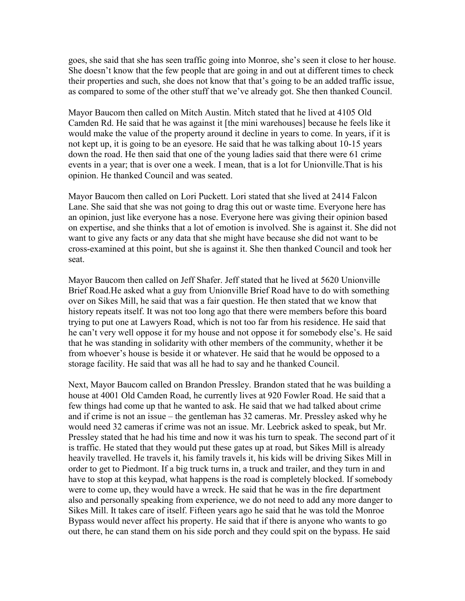goes, she said that she has seen traffic going into Monroe, she's seen it close to her house. She doesn't know that the few people that are going in and out at different times to check their properties and such, she does not know that that's going to be an added traffic issue, as compared to some of the other stuff that we've already got. She then thanked Council.

Mayor Baucom then called on Mitch Austin. Mitch stated that he lived at 4105 Old Camden Rd. He said that he was against it [the mini warehouses] because he feels like it would make the value of the property around it decline in years to come. In years, if it is not kept up, it is going to be an eyesore. He said that he was talking about 10-15 years down the road. He then said that one of the young ladies said that there were 61 crime events in a year; that is over one a week. I mean, that is a lot for Unionville.That is his opinion. He thanked Council and was seated.

Mayor Baucom then called on Lori Puckett. Lori stated that she lived at 2414 Falcon Lane. She said that she was not going to drag this out or waste time. Everyone here has an opinion, just like everyone has a nose. Everyone here was giving their opinion based on expertise, and she thinks that a lot of emotion is involved. She is against it. She did not want to give any facts or any data that she might have because she did not want to be cross-examined at this point, but she is against it. She then thanked Council and took her seat.

Mayor Baucom then called on Jeff Shafer. Jeff stated that he lived at 5620 Unionville Brief Road.He asked what a guy from Unionville Brief Road have to do with something over on Sikes Mill, he said that was a fair question. He then stated that we know that history repeats itself. It was not too long ago that there were members before this board trying to put one at Lawyers Road, which is not too far from his residence. He said that he can't very well oppose it for my house and not oppose it for somebody else's. He said that he was standing in solidarity with other members of the community, whether it be from whoever's house is beside it or whatever. He said that he would be opposed to a storage facility. He said that was all he had to say and he thanked Council.

Next, Mayor Baucom called on Brandon Pressley. Brandon stated that he was building a house at 4001 Old Camden Road, he currently lives at 920 Fowler Road. He said that a few things had come up that he wanted to ask. He said that we had talked about crime and if crime is not an issue – the gentleman has 32 cameras. Mr. Pressley asked why he would need 32 cameras if crime was not an issue. Mr. Leebrick asked to speak, but Mr. Pressley stated that he had his time and now it was his turn to speak. The second part of it is traffic. He stated that they would put these gates up at road, but Sikes Mill is already heavily travelled. He travels it, his family travels it, his kids will be driving Sikes Mill in order to get to Piedmont. If a big truck turns in, a truck and trailer, and they turn in and have to stop at this keypad, what happens is the road is completely blocked. If somebody were to come up, they would have a wreck. He said that he was in the fire department also and personally speaking from experience, we do not need to add any more danger to Sikes Mill. It takes care of itself. Fifteen years ago he said that he was told the Monroe Bypass would never affect his property. He said that if there is anyone who wants to go out there, he can stand them on his side porch and they could spit on the bypass. He said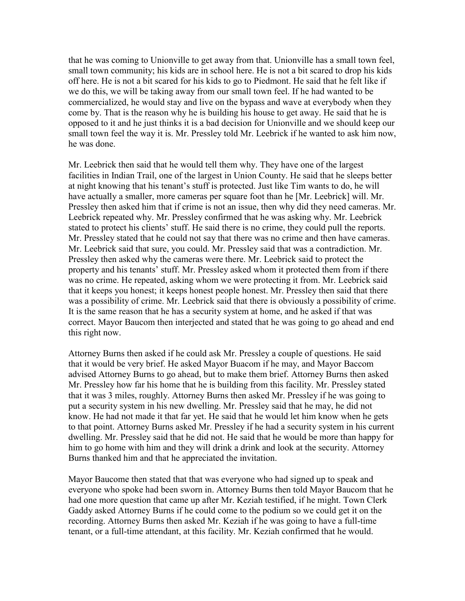that he was coming to Unionville to get away from that. Unionville has a small town feel, small town community; his kids are in school here. He is not a bit scared to drop his kids off here. He is not a bit scared for his kids to go to Piedmont. He said that he felt like if we do this, we will be taking away from our small town feel. If he had wanted to be commercialized, he would stay and live on the bypass and wave at everybody when they come by. That is the reason why he is building his house to get away. He said that he is opposed to it and he just thinks it is a bad decision for Unionville and we should keep our small town feel the way it is. Mr. Pressley told Mr. Leebrick if he wanted to ask him now, he was done.

Mr. Leebrick then said that he would tell them why. They have one of the largest facilities in Indian Trail, one of the largest in Union County. He said that he sleeps better at night knowing that his tenant's stuff is protected. Just like Tim wants to do, he will have actually a smaller, more cameras per square foot than he [Mr. Leebrick] will. Mr. Pressley then asked him that if crime is not an issue, then why did they need cameras. Mr. Leebrick repeated why. Mr. Pressley confirmed that he was asking why. Mr. Leebrick stated to protect his clients' stuff. He said there is no crime, they could pull the reports. Mr. Pressley stated that he could not say that there was no crime and then have cameras. Mr. Leebrick said that sure, you could. Mr. Pressley said that was a contradiction. Mr. Pressley then asked why the cameras were there. Mr. Leebrick said to protect the property and his tenants' stuff. Mr. Pressley asked whom it protected them from if there was no crime. He repeated, asking whom we were protecting it from. Mr. Leebrick said that it keeps you honest; it keeps honest people honest. Mr. Pressley then said that there was a possibility of crime. Mr. Leebrick said that there is obviously a possibility of crime. It is the same reason that he has a security system at home, and he asked if that was correct. Mayor Baucom then interjected and stated that he was going to go ahead and end this right now.

Attorney Burns then asked if he could ask Mr. Pressley a couple of questions. He said that it would be very brief. He asked Mayor Buacom if he may, and Mayor Baccom advised Attorney Burns to go ahead, but to make them brief. Attorney Burns then asked Mr. Pressley how far his home that he is building from this facility. Mr. Pressley stated that it was 3 miles, roughly. Attorney Burns then asked Mr. Pressley if he was going to put a security system in his new dwelling. Mr. Pressley said that he may, he did not know. He had not made it that far yet. He said that he would let him know when he gets to that point. Attorney Burns asked Mr. Pressley if he had a security system in his current dwelling. Mr. Pressley said that he did not. He said that he would be more than happy for him to go home with him and they will drink a drink and look at the security. Attorney Burns thanked him and that he appreciated the invitation.

Mayor Baucome then stated that that was everyone who had signed up to speak and everyone who spoke had been sworn in. Attorney Burns then told Mayor Baucom that he had one more question that came up after Mr. Keziah testified, if he might. Town Clerk Gaddy asked Attorney Burns if he could come to the podium so we could get it on the recording. Attorney Burns then asked Mr. Keziah if he was going to have a full-time tenant, or a full-time attendant, at this facility. Mr. Keziah confirmed that he would.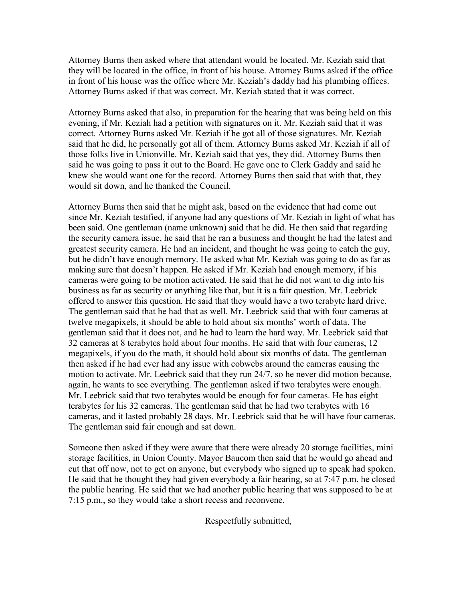Attorney Burns then asked where that attendant would be located. Mr. Keziah said that they will be located in the office, in front of his house. Attorney Burns asked if the office in front of his house was the office where Mr. Keziah's daddy had his plumbing offices. Attorney Burns asked if that was correct. Mr. Keziah stated that it was correct.

Attorney Burns asked that also, in preparation for the hearing that was being held on this evening, if Mr. Keziah had a petition with signatures on it. Mr. Keziah said that it was correct. Attorney Burns asked Mr. Keziah if he got all of those signatures. Mr. Keziah said that he did, he personally got all of them. Attorney Burns asked Mr. Keziah if all of those folks live in Unionville. Mr. Keziah said that yes, they did. Attorney Burns then said he was going to pass it out to the Board. He gave one to Clerk Gaddy and said he knew she would want one for the record. Attorney Burns then said that with that, they would sit down, and he thanked the Council.

Attorney Burns then said that he might ask, based on the evidence that had come out since Mr. Keziah testified, if anyone had any questions of Mr. Keziah in light of what has been said. One gentleman (name unknown) said that he did. He then said that regarding the security camera issue, he said that he ran a business and thought he had the latest and greatest security camera. He had an incident, and thought he was going to catch the guy, but he didn't have enough memory. He asked what Mr. Keziah was going to do as far as making sure that doesn't happen. He asked if Mr. Keziah had enough memory, if his cameras were going to be motion activated. He said that he did not want to dig into his business as far as security or anything like that, but it is a fair question. Mr. Leebrick offered to answer this question. He said that they would have a two terabyte hard drive. The gentleman said that he had that as well. Mr. Leebrick said that with four cameras at twelve megapixels, it should be able to hold about six months' worth of data. The gentleman said that it does not, and he had to learn the hard way. Mr. Leebrick said that 32 cameras at 8 terabytes hold about four months. He said that with four cameras, 12 megapixels, if you do the math, it should hold about six months of data. The gentleman then asked if he had ever had any issue with cobwebs around the cameras causing the motion to activate. Mr. Leebrick said that they run 24/7, so he never did motion because, again, he wants to see everything. The gentleman asked if two terabytes were enough. Mr. Leebrick said that two terabytes would be enough for four cameras. He has eight terabytes for his 32 cameras. The gentleman said that he had two terabytes with 16 cameras, and it lasted probably 28 days. Mr. Leebrick said that he will have four cameras. The gentleman said fair enough and sat down.

Someone then asked if they were aware that there were already 20 storage facilities, mini storage facilities, in Union County. Mayor Baucom then said that he would go ahead and cut that off now, not to get on anyone, but everybody who signed up to speak had spoken. He said that he thought they had given everybody a fair hearing, so at 7:47 p.m. he closed the public hearing. He said that we had another public hearing that was supposed to be at 7:15 p.m., so they would take a short recess and reconvene.

Respectfully submitted,